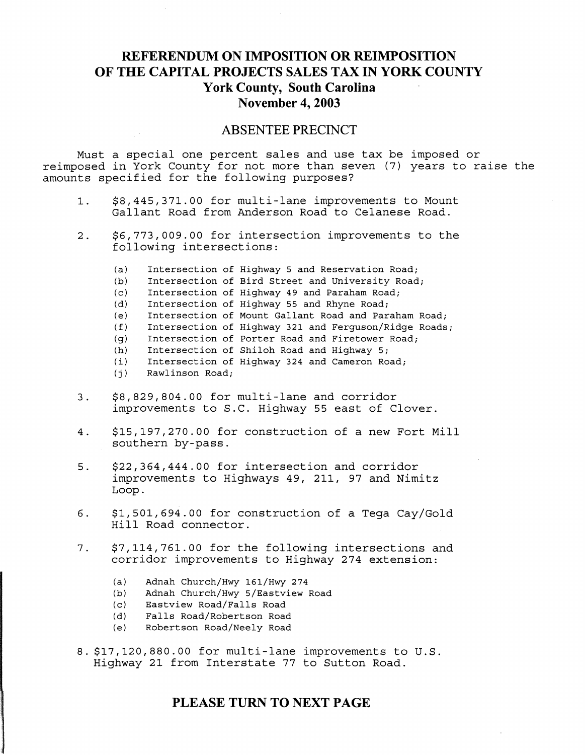# **REFERENDUM ON IMPOSITION OR REIMPOSITION OF THE CAPITAL PROJECTS SALES TAX IN YORK COUNTY York County, South Carolina November 4, 2003**

### **ABSENTEE PRECINCT**

Must a special one percent sales and use tax be imposed or reimposed in York County for not more than seven (7) years to raise the amounts specified for the following purposes?

- 1. \$8,445,371.00 for multi-lane improvements to Mount Gallant Road from Anderson Road to Celanese Road.
- 2. \$6,773,009.00 for intersection improvements to the following intersections:
	- (a) Intersection of Highway 5 and Reservation Road;
	- (b) Intersection of Bird Street and University Road;
	- (c) Intersection of Highway 49 and Paraham Road;
	- (d) Intersection of Highway 55 and Rhyne Road;
	- (e) Intersection of Mount Gallant Road and Paraham Road;
	- (f) Intersection of Highway 321 and Ferguson/Ridge Roads;
	- (g) Intersection of Porter Road and Firetower Road;
	- (h) Intersection of Shiloh Road and Highway 5;<br>(i) Intersection of Highway 324 and Cameron Ro
	- Intersection of Highway 324 and Cameron Road;
	- $(j)$  Rawlinson Road;
- 3. \$8,829,804.00 for multi-lane and corridor improvements to s.C. Highway 55 east of Clover.
- 4. \$15,197,270.00 for construction of a new Fort Mill southern by-pass.
- 5. \$22,364,444.00 for intersection and corridor improvements to Highways 49, 211, 97 and Nimitz Loop.
- 6. \$1,501,694.00 for construction of a Tega Cay/Gold Hill Road connector.
- 7. \$7,114,761.00 for the following intersections and corridor improvements to Highway 274 extension:
	- (a) Adnah Church/Hwy 161/Hwy 274
	- (b) Adnah Church/Hwy 5/Eastview Road
	- (c) Eastview Road/Falls Road
	- (d) Falls Road/Robertson Road
	- (e) Robertson Road/Neely Road
- 8. \$17,120,880.00 for multi-lane improvements to u.s. Highway 21 from Interstate 77 to Sutton Road.

## **PLEASE TURN TO NEXT PAGE**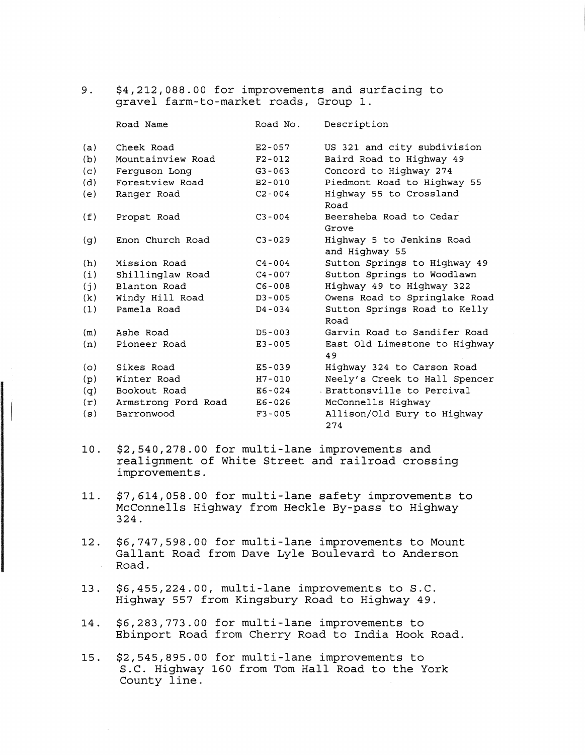9. \$4,212,088.00 for improvements and surfacing to gravel farm-to-market roads, Group 1.

|     | Road Name           | Road No.   | Description                                 |
|-----|---------------------|------------|---------------------------------------------|
| (a) | Cheek Road          | $E2 - 057$ | US 321 and city subdivision                 |
| (b) | Mountainview Road   | $F2 - 012$ | Baird Road to Highway 49                    |
| (c) | Ferquson Long       | $G3 - 063$ | Concord to Highway 274                      |
| (d) | Forestview Road     | $B2 - 010$ | Piedmont Road to Highway 55                 |
| (e) | Ranger Road         | $C2 - 004$ | Highway 55 to Crossland<br>Road             |
| (f) | Propst Road         | $C3 - 004$ | Beersheba Road to Cedar<br>Grove            |
| (g) | Enon Church Road    | $C3 - 029$ | Highway 5 to Jenkins Road<br>and Highway 55 |
| (h) | Mission Road        | $C4 - 004$ | Sutton Springs to Highway 49                |
| (i) | Shillinglaw Road    | $C4 - 007$ | Sutton Springs to Woodlawn                  |
| (j) | Blanton Road        | $C6 - 008$ | Highway 49 to Highway 322                   |
| (k) | Windy Hill Road     | $D3 - 005$ | Owens Road to Springlake Road               |
| (1) | Pamela Road         | D4-034     | Sutton Springs Road to Kelly<br>Road        |
| (m) | Ashe Road           | $D5 - 003$ | Garvin Road to Sandifer Road                |
| (n) | Pioneer Road        | $E3 - 005$ | East Old Limestone to Highway<br>49         |
| (o) | Sikes Road          | E5-039     | Highway 324 to Carson Road                  |
| (p) | Winter Road         | $H7 - 010$ | Neely's Creek to Hall Spencer               |
| (q) | Bookout Road        | E6-024     | . Brattonsville to Percival                 |
| (r) | Armstrong Ford Road | E6-026     | McConnells Highway                          |
| (s) | Barronwood          | $F3 - 005$ | Allison/Old Eury to Highway<br>274          |

- 10. \$2,540,278.00 for multi-lane improvements and realignment of White Street and railroad crossing improvements.
- 11. \$7,614,058.00 for multi-lane safety improvements to McConnells Highway from Heckle By-pass to Highway 324.
- 12. \$6,747,598.00 for multi-lane improvements to Mount Gallant Road from Dave Lyle Boulevard to Anderson Road.
- 13. \$6,455,224.00, multi-lane improvements to S.C. Highway 557 from Kingsbury Road to Highway 49.
- 14. \$6,283,773.00 for multi-lane improvements to Ebinport Road from Cherry Road to India Hook Road.
- 15. \$2,545,895.00 for multi-lane improvements to S.C. Highway 160 from Tom Hall Road to the York County line.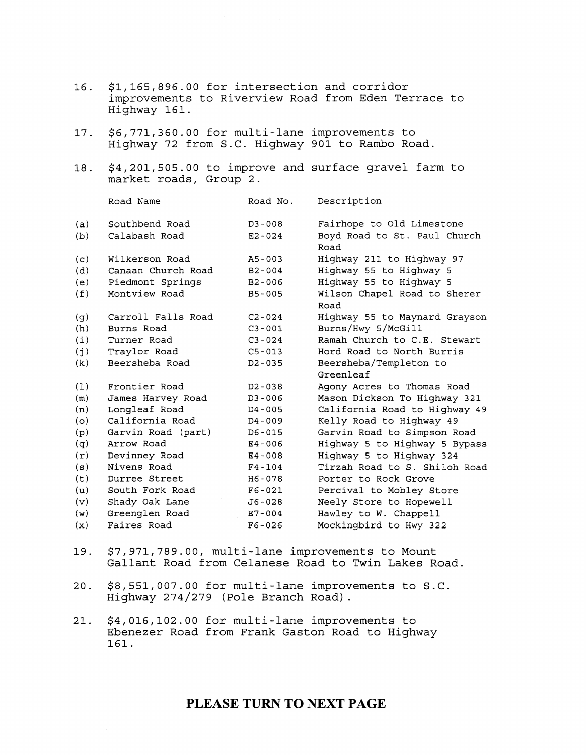| 16. | \$1,165,896.00 for intersection and corridor<br>Highway 161.                                     |            | improvements to Riverview Road from Eden Terrace to |  |
|-----|--------------------------------------------------------------------------------------------------|------------|-----------------------------------------------------|--|
| 17. | \$6,771,360.00 for multi-lane improvements to<br>Highway 72 from S.C. Highway 901 to Rambo Road. |            |                                                     |  |
| 18. | \$4,201,505.00 to improve and surface gravel farm to<br>market roads, Group 2.                   |            |                                                     |  |
|     | Road Name                                                                                        | Road No.   | Description                                         |  |
| (a) | Southbend Road                                                                                   | D3-008     | Fairhope to Old Limestone                           |  |
| (b) | Calabash Road                                                                                    | $E2 - 024$ | Boyd Road to St. Paul Church<br>Road                |  |
| (c) | Wilkerson Road                                                                                   | A5-003     | Highway 211 to Highway 97                           |  |
| (d) | Canaan Church Road                                                                               | $B2 - 004$ | Highway 55 to Highway 5                             |  |
| (e) | Piedmont Springs                                                                                 | B2-006     | Highway 55 to Highway 5                             |  |
| (f) | Montview Road                                                                                    | B5-005     | Wilson Chapel Road to Sherer<br>Road                |  |
| (g) | Carroll Falls Road                                                                               | $C2 - 024$ | Highway 55 to Maynard Grayson                       |  |
| (h) | Burns Road                                                                                       | $C3 - 001$ | Burns/Hwy 5/McGill                                  |  |
| (i) | Turner Road                                                                                      | $C3 - 024$ | Ramah Church to C.E. Stewart                        |  |
| (j) | Traylor Road                                                                                     | $C5 - 013$ | Hord Road to North Burris                           |  |
| (k) | Beersheba Road                                                                                   | $D2 - 035$ | Beersheba/Templeton to                              |  |
|     |                                                                                                  |            | Greenleaf                                           |  |
| (1) | Frontier Road                                                                                    | D2-038     | Agony Acres to Thomas Road                          |  |
| (m) | James Harvey Road                                                                                | $D3 - 006$ | Mason Dickson To Highway 321                        |  |
| (n) | Longleaf Road                                                                                    | D4-005     | California Road to Highway 49                       |  |
| (o) | California Road                                                                                  | D4-009     | Kelly Road to Highway 49                            |  |
| (p) | Garvin Road (part)                                                                               | $D6 - 015$ | Garvin Road to Simpson Road                         |  |
| (q) | Arrow Road                                                                                       | E4-006     | Highway 5 to Highway 5 Bypass                       |  |
| (r) | Devinney Road                                                                                    | $E4 - 008$ | Highway 5 to Highway 324                            |  |
| (s) | Nivens Road                                                                                      | $F4 - 104$ | Tirzah Road to S. Shiloh Road                       |  |
| (t) | Durree Street                                                                                    | H6-078     | Porter to Rock Grove                                |  |
| (u) | South Fork Road                                                                                  | $F6 - 021$ | Percival to Mobley Store                            |  |
| (v) | Shady Oak Lane                                                                                   | J6-028     | Neely Store to Hopewell                             |  |
| (w) | Greenglen Road                                                                                   | E7-004     | Hawley to W. Chappell                               |  |
| (x) | Faires Road                                                                                      | $F6 - 026$ | Mockingbird to Hwy 322                              |  |

- 19. \$7,971,789.00, multi-lane improvements to Mount Gallant Road from Celanese Road to Twin Lakes Road.
- 20. \$8,551,007.00 for multi-lane improvements to S.C. Highway 274/279 (Pole Branch Road) .
- 21. \$4,016,102.00 for multi-lane improvements to Ebenezer Road from Frank Gaston Road to Highway 161.

## **PLEASE TURN TO NEXT PAGE**